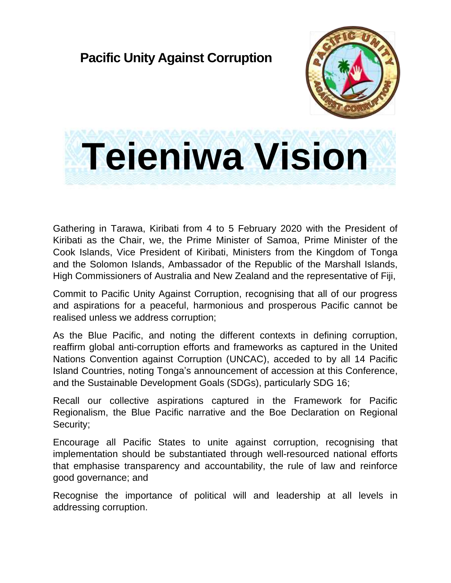## **Pacific Unity Against Corruption**



## **Teieniwa Vision**

Gathering in Tarawa, Kiribati from 4 to 5 February 2020 with the President of Kiribati as the Chair, we, the Prime Minister of Samoa, Prime Minister of the Cook Islands, Vice President of Kiribati, Ministers from the Kingdom of Tonga and the Solomon Islands, Ambassador of the Republic of the Marshall Islands, High Commissioners of Australia and New Zealand and the representative of Fiji,

Commit to Pacific Unity Against Corruption, recognising that all of our progress and aspirations for a peaceful, harmonious and prosperous Pacific cannot be realised unless we address corruption;

As the Blue Pacific, and noting the different contexts in defining corruption, reaffirm global anti-corruption efforts and frameworks as captured in the United Nations Convention against Corruption (UNCAC), acceded to by all 14 Pacific Island Countries, noting Tonga's announcement of accession at this Conference, and the Sustainable Development Goals (SDGs), particularly SDG 16;

Recall our collective aspirations captured in the Framework for Pacific Regionalism, the Blue Pacific narrative and the Boe Declaration on Regional Security;

Encourage all Pacific States to unite against corruption, recognising that implementation should be substantiated through well-resourced national efforts that emphasise transparency and accountability, the rule of law and reinforce good governance; and

Recognise the importance of political will and leadership at all levels in addressing corruption.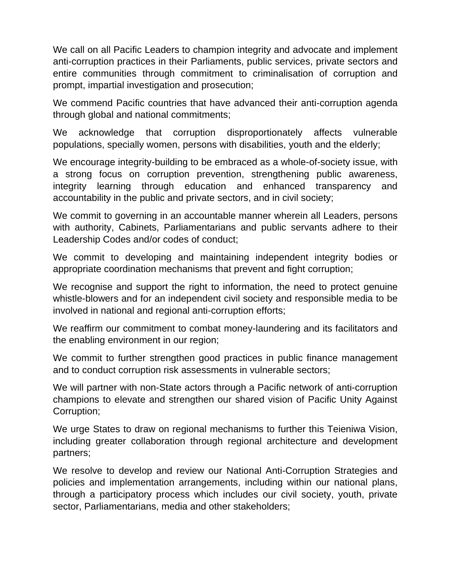We call on all Pacific Leaders to champion integrity and advocate and implement anti-corruption practices in their Parliaments, public services, private sectors and entire communities through commitment to criminalisation of corruption and prompt, impartial investigation and prosecution;

We commend Pacific countries that have advanced their anti-corruption agenda through global and national commitments;

We acknowledge that corruption disproportionately affects vulnerable populations, specially women, persons with disabilities, youth and the elderly;

We encourage integrity-building to be embraced as a whole-of-society issue, with a strong focus on corruption prevention, strengthening public awareness, integrity learning through education and enhanced transparency and accountability in the public and private sectors, and in civil society;

We commit to governing in an accountable manner wherein all Leaders, persons with authority, Cabinets, Parliamentarians and public servants adhere to their Leadership Codes and/or codes of conduct;

We commit to developing and maintaining independent integrity bodies or appropriate coordination mechanisms that prevent and fight corruption;

We recognise and support the right to information, the need to protect genuine whistle-blowers and for an independent civil society and responsible media to be involved in national and regional anti-corruption efforts;

We reaffirm our commitment to combat money-laundering and its facilitators and the enabling environment in our region;

We commit to further strengthen good practices in public finance management and to conduct corruption risk assessments in vulnerable sectors;

We will partner with non-State actors through a Pacific network of anti-corruption champions to elevate and strengthen our shared vision of Pacific Unity Against Corruption;

We urge States to draw on regional mechanisms to further this Teieniwa Vision, including greater collaboration through regional architecture and development partners;

We resolve to develop and review our National Anti-Corruption Strategies and policies and implementation arrangements, including within our national plans, through a participatory process which includes our civil society, youth, private sector, Parliamentarians, media and other stakeholders;